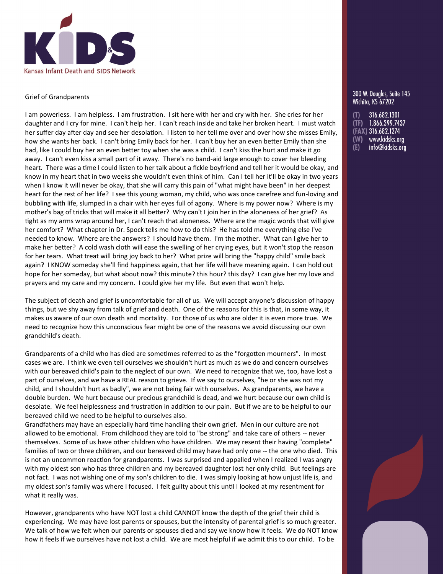

## Grief of Grandparents

I am powerless. I am helpless. I am frustration. I sit here with her and cry with her. She cries for her daughter and I cry for mine. I can't help her. I can't reach inside and take her broken heart. I must watch her suffer day after day and see her desolation. I listen to her tell me over and over how she misses Emily, how she wants her back. I can't bring Emily back for her. I can't buy her an even better Emily than she had, like I could buy her an even better toy when she was a child. I can't kiss the hurt and make it go away. I can't even kiss a small part of it away. There's no band-aid large enough to cover her bleeding heart. There was a time I could listen to her talk about a fickle boyfriend and tell her it would be okay, and know in my heart that in two weeks she wouldn't even think of him. Can I tell her it'll be okay in two years when I know it will never be okay, that she will carry this pain of "what might have been" in her deepest heart for the rest of her life? I see this young woman, my child, who was once carefree and fun-loving and bubbling with life, slumped in a chair with her eyes full of agony. Where is my power now? Where is my mother's bag of tricks that will make it all better? Why can't I join her in the aloneness of her grief? As tight as my arms wrap around her, I can't reach that aloneness. Where are the magic words that will give her comfort? What chapter in Dr. Spock tells me how to do this? He has told me everything else I've needed to know. Where are the answers? I should have them. I'm the mother. What can I give her to make her better? A cold wash cloth will ease the swelling of her crying eyes, but it won't stop the reason for her tears. What treat will bring joy back to her? What prize will bring the "happy child" smile back again? I KNOW someday she'll find happiness again, that her life will have meaning again. I can hold out hope for her someday, but what about now? this minute? this hour? this day? I can give her my love and prayers and my care and my concern. I could give her my life. But even that won't help.

The subject of death and grief is uncomfortable for all of us. We will accept anyone's discussion of happy things, but we shy away from talk of grief and death. One of the reasons for this is that, in some way, it makes us aware of our own death and mortality. For those of us who are older it is even more true. We need to recognize how this unconscious fear might be one of the reasons we avoid discussing our own grandchild's death.

Grandparents of a child who has died are sometimes referred to as the "forgotten mourners". In most cases we are. I think we even tell ourselves we shouldn't hurt as much as we do and concern ourselves with our bereaved child's pain to the neglect of our own. We need to recognize that we, too, have lost a part of ourselves, and we have a REAL reason to grieve. If we say to ourselves, "he or she was not my child, and I shouldn't hurt as badly", we are not being fair with ourselves. As grandparents, we have a double burden. We hurt because our precious grandchild is dead, and we hurt because our own child is desolate. We feel helplessness and frustration in addition to our pain. But if we are to be helpful to our bereaved child we need to be helpful to ourselves also.

Grandfathers may have an especially hard time handling their own grief. Men in our culture are not allowed to be emotional. From childhood they are told to "be strong" and take care of others -- never themselves. Some of us have other children who have children. We may resent their having "complete" families of two or three children, and our bereaved child may have had only one -- the one who died. This is not an uncommon reaction for grandparents. I was surprised and appalled when I realized I was angry with my oldest son who has three children and my bereaved daughter lost her only child. But feelings are not fact. I was not wishing one of my son's children to die. I was simply looking at how unjust life is, and my oldest son's family was where I focused. I felt guilty about this until I looked at my resentment for what it really was.

However, grandparents who have NOT lost a child CANNOT know the depth of the grief their child is experiencing. We may have lost parents or spouses, but the intensity of parental grief is so much greater. We talk of how we felt when our parents or spouses died and say we know how it feels. We do NOT know how it feels if we ourselves have not lost a child. We are most helpful if we admit this to our child. To be

## 300 W. Doualas. Suite 145 Wichita, KS 67202

316.682.1301 (T)  $(TF)$  1.866.399.7437 (FAX) 316.682.1274 (W) www.kidsks.org  $(E)$ info@kidsks.org